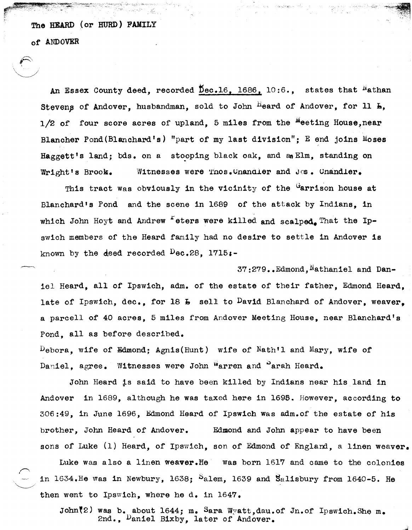The HEARD (or HURD) FAMILY

전부자와 정

of ANDOVER

An Essex County deed, recorded  $\overline{D}$ ec.16, 1686, 10:6., states that <sup>N</sup>athan Stevens of Andover, husbandman, sold to John Heard of Andover, for  $11$   $h$ ,  $1/2$  of four score acres of upland, 5 miles from the <sup>M</sup>eeting House,near Blancher Pond(Blanchard's) "part of my last division"; E end joins Moses Haggett's land; bds. on a stooping black oak, and an Elm, standing on Wright's Brook. Witnesses were Thos.Chandler and Jos. Chandler.

This tract was obviously in the vicinity of the  $G$  arrison house at Blanchard's Pond and the scene in 1689 of the attack by Indians, in which John Hoyt and Andrew  $\epsilon$  eters were killed and scalped. That the Ipswich members of the Heard family had no desire to settle in Andover is known by the deed recorded  $\log 28$ , 1715.

37:279. Edmond, Nathaniel and Daniel Heard, all of Ipswich, adm. of the estate of their father, Edmond Heard, late of Ipswich, dec., for 18  $\texttt{L}$  sell to David Blanchard of Andover, weaver. a parcell of 40 acres, 5 miles from Andover Meeting House, near Blanchard's Pond, all as before described.

 $\Gamma$ bebora, wife of Edmond; Agnis(Hunt) wife of Nath'l and Mary, wife of Daniel, agree. Witnesses were John Warren and Parah Heard.

John Heard is said to have been killed by Indians near his land in Andover in 1689, although he was taxed here in 1695. However, according to 306:49, in June 1696, Edmond Heard of Ipswich was adm.of the estate of his brother, John Heard of Andover. Edmond and John appear to have been sons of Luke  $(1)$  Heard, of Ipswich, son of Edmond of England, a linen weaver.

Luke was also a linen weaver.He was born 1617 and came to the colonies in 1634.He was in Newbury, 1638;  $S$ alem, 1639 and Salisbury from 1640-5. He then went to Ipswich, where he d. in 1647.

John(2) was b. about 1644; m. Sara Wyatt, dau. of Jn. of Ipswich. She m. 2nd., Daniel Bixby, later of Andover.